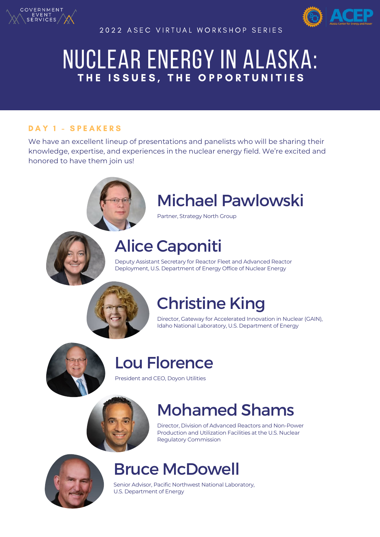

2022 ASEC VIRTUAL WORKSHOP SERIES



# NUCLEAR ENERGY IN ALASKA: THE ISSUES, THE OPPORTUNITIES

#### DAY 1 - SPEAKERS

We have an excellent lineup of presentations and panelists who will be sharing their knowledge, expertise, and experiences in the nuclear energy field. We're excited and honored to have them join us!



# Michael Pawlowski

Partner, Strategy North Group

### Alice Caponiti

Deputy Assistant Secretary for Reactor Fleet and Advanced Reactor Deployment, U.S. Department of Energy Office of Nuclear Energy



# Christine King

Director, Gateway for Accelerated Innovation in Nuclear (GAIN), Idaho National Laboratory, U.S. Department of Energy



## Lou Florence

President and CEO, Doyon Utilities



# Mohamed Shams

Director, Division of Advanced Reactors and Non-Power Production and Utilization Facilities at the U.S. Nuclear Regulatory Commission



#### Bruce McDowell

Senior Advisor, Pacific Northwest National Laboratory, U.S. Department of Energy